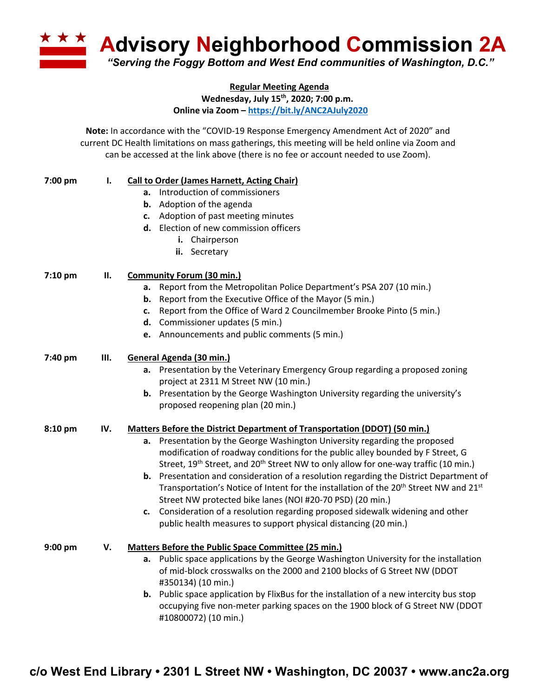**Advisory Neighborhood Commission 2A** *"Serving the Foggy Bottom and West End communities of Washington, D.C."*

**Regular Meeting Agenda**

**Wednesday, July 15th, 2020; 7:00 p.m.**

**Online via Zoom – https://bit.ly/ANC2AJuly2020**

**Note:** In accordance with the "COVID-19 Response Emergency Amendment Act of 2020" and current DC Health limitations on mass gatherings, this meeting will be held online via Zoom and can be accessed at the link above (there is no fee or account needed to use Zoom).

| 7:00 pm | Ι.  | <b>Call to Order (James Harnett, Acting Chair)</b>                                                                                                           |
|---------|-----|--------------------------------------------------------------------------------------------------------------------------------------------------------------|
|         |     | a. Introduction of commissioners                                                                                                                             |
|         |     | <b>b.</b> Adoption of the agenda                                                                                                                             |
|         |     | c. Adoption of past meeting minutes                                                                                                                          |
|         |     | d. Election of new commission officers                                                                                                                       |
|         |     | i. Chairperson                                                                                                                                               |
|         |     | ii. Secretary                                                                                                                                                |
| 7:10 pm | П.  | <b>Community Forum (30 min.)</b>                                                                                                                             |
|         |     | a. Report from the Metropolitan Police Department's PSA 207 (10 min.)                                                                                        |
|         |     | <b>b.</b> Report from the Executive Office of the Mayor (5 min.)                                                                                             |
|         |     | Report from the Office of Ward 2 Councilmember Brooke Pinto (5 min.)<br>c.                                                                                   |
|         |     | d. Commissioner updates (5 min.)                                                                                                                             |
|         |     | e. Announcements and public comments (5 min.)                                                                                                                |
| 7:40 pm | Ш.  | General Agenda (30 min.)                                                                                                                                     |
|         |     | a. Presentation by the Veterinary Emergency Group regarding a proposed zoning                                                                                |
|         |     | project at 2311 M Street NW (10 min.)                                                                                                                        |
|         |     | b. Presentation by the George Washington University regarding the university's                                                                               |
|         |     | proposed reopening plan (20 min.)                                                                                                                            |
| 8:10 pm | IV. | Matters Before the District Department of Transportation (DDOT) (50 min.)                                                                                    |
|         |     | a. Presentation by the George Washington University regarding the proposed<br>modification of roadway conditions for the public alley bounded by F Street, G |
|         |     | Street, 19 <sup>th</sup> Street, and 20 <sup>th</sup> Street NW to only allow for one-way traffic (10 min.)                                                  |
|         |     | <b>b.</b> Presentation and consideration of a resolution regarding the District Department of                                                                |
|         |     | Transportation's Notice of Intent for the installation of the 20 <sup>th</sup> Street NW and 21 <sup>st</sup>                                                |
|         |     | Street NW protected bike lanes (NOI #20-70 PSD) (20 min.)                                                                                                    |
|         |     | c. Consideration of a resolution regarding proposed sidewalk widening and other                                                                              |
|         |     | public health measures to support physical distancing (20 min.)                                                                                              |
|         |     |                                                                                                                                                              |
| 9:00 pm | V.  | Matters Before the Public Space Committee (25 min.)                                                                                                          |
|         |     | a. Public space applications by the George Washington University for the installation                                                                        |
|         |     | of mid-block crosswalks on the 2000 and 2100 blocks of G Street NW (DDOT                                                                                     |
|         |     | #350134) (10 min.)                                                                                                                                           |
|         |     | <b>b.</b> Public space application by FlixBus for the installation of a new intercity bus stop                                                               |
|         |     | occupying five non-meter parking spaces on the 1900 block of G Street NW (DDOT                                                                               |
|         |     | #10800072) (10 min.)                                                                                                                                         |